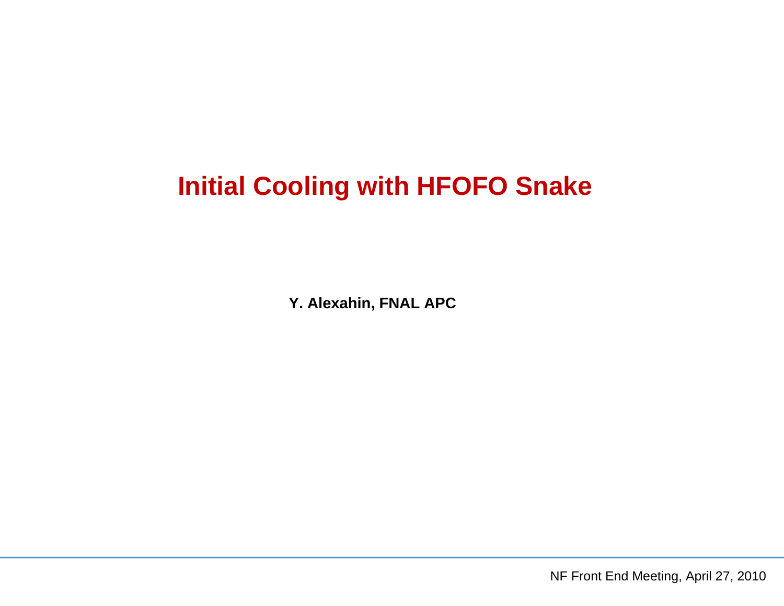# **Initial Cooling with HFOFO Snake**

**Y. Alexahin, FNAL APC**

NF Front End Meeting, April 27, 2010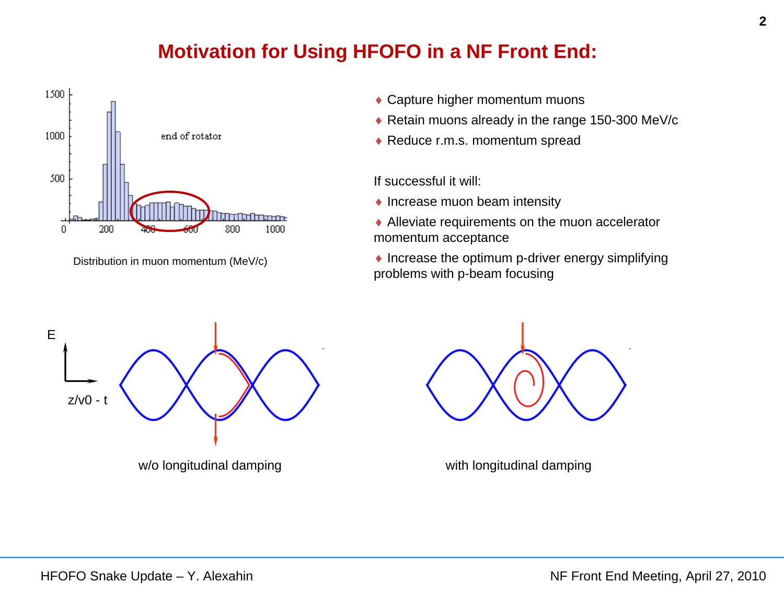# **Motivation for Using HFOFO in a NF Front End:**



Distribution in muon momentum (MeV/c)

- Capture higher momentum muons
- ◆ Retain muons already in the range 150-300 MeV/c
- ◆ Reduce r.m.s. momentum spread

If successful it will:

- $\blacklozenge$  Increase muon beam intensity
- ◆ Alleviate requirements on the muon accelerator momentum acceptance
- $\bullet$  Increase the optimum p-driver energy simplifying problems with p-beam focusing





w/o longitudinal damping with longitudinal damping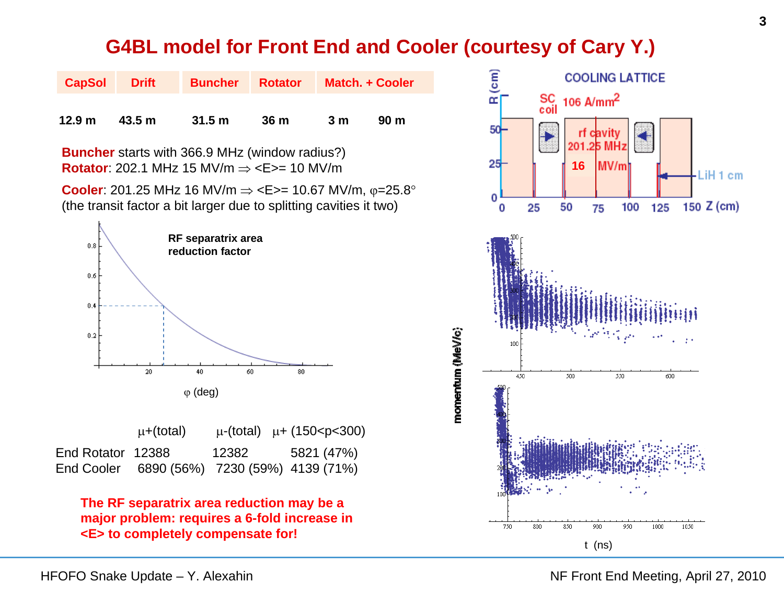#### **G4BL model for Front End and Cooler (courtesy of Cary Y.)**

| <b>CapSol</b>                                                                                                             | <b>Drift</b> | <b>Buncher</b> | <b>Rotator</b>  |    | Match. + Cooler |  |  |
|---------------------------------------------------------------------------------------------------------------------------|--------------|----------------|-----------------|----|-----------------|--|--|
| 12.9 <sub>m</sub>                                                                                                         | 43.5 m       | 31.5 m         | 36 <sub>m</sub> | 3m | 90 <sub>m</sub> |  |  |
| <b>Buncher</b> starts with 366.9 MHz (window radius?)<br><b>Rotator:</b> 202.1 MHz 15 MV/m $\Rightarrow$ <e>= 10 MV/m</e> |              |                |                 |    |                 |  |  |

**Cooler**: 201.25 MHz 16 MV/m ⇒ <E>= 10.67 MV/m, φ=25.8° (the transit factor a bit larger due to splitting cavities it two)



|                   | $\mu +$ (total) |       | $\mu$ -(total) $\mu$ + (150 <p<300)< th=""></p<300)<> |
|-------------------|-----------------|-------|-------------------------------------------------------|
| End Rotator 12388 |                 | 12382 | 5821 (47%)                                            |
|                   |                 |       | End Cooler 6890 (56%) 7230 (59%) 4139 (71%)           |

**The RF separatrix area reduction may be a major problem: requires a 6-fold increase in <E> to completely compensate for!**

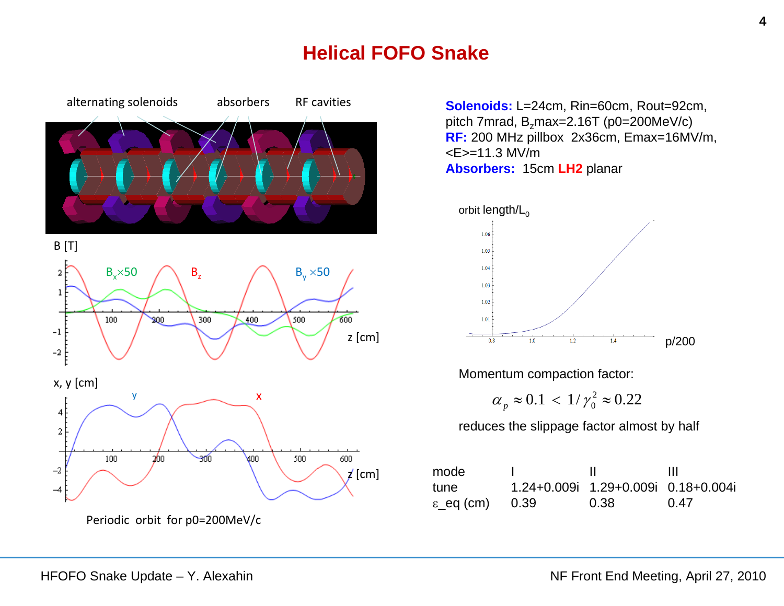# **Helical FOFO Snake**



Periodic orbit for p0=200MeV/c

**Solenoids:** L=24cm, Rin=60cm, Rout=92cm, pitch 7mrad, B<sub>z</sub>max=2.16T (p0=200MeV/c) **RF:** 200 MHz pillbox 2x36cm, Emax=16MV/m, <E>=11.3 MV/m**Absorbers:** 15cm **LH2** planar



Momentum compaction factor:

$$
\alpha_p \approx 0.1 < \frac{1}{\gamma_0^2} \approx 0.22
$$

reduces the slippage factor almost by half

| mode                       |                                     | Ш    |
|----------------------------|-------------------------------------|------|
| tune                       | 1.24+0.009i 1.29+0.009i 0.18+0.004i |      |
| $\varepsilon$ eq (cm) 0.39 | 0.38                                | 0.47 |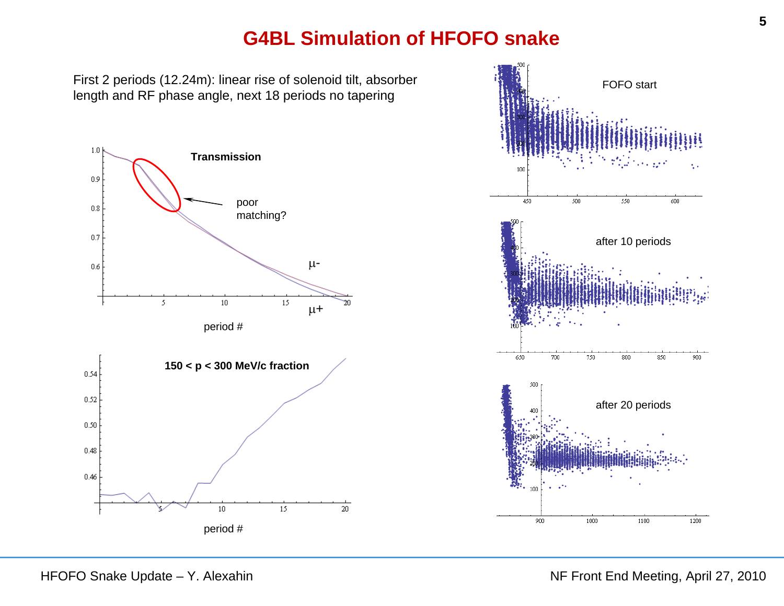#### **G4BL Simulation of HFOFO snake**

First 2 periods (12.24m): linear rise of solenoid tilt, absorber length and RF phase angle, next 18 periods no tapering



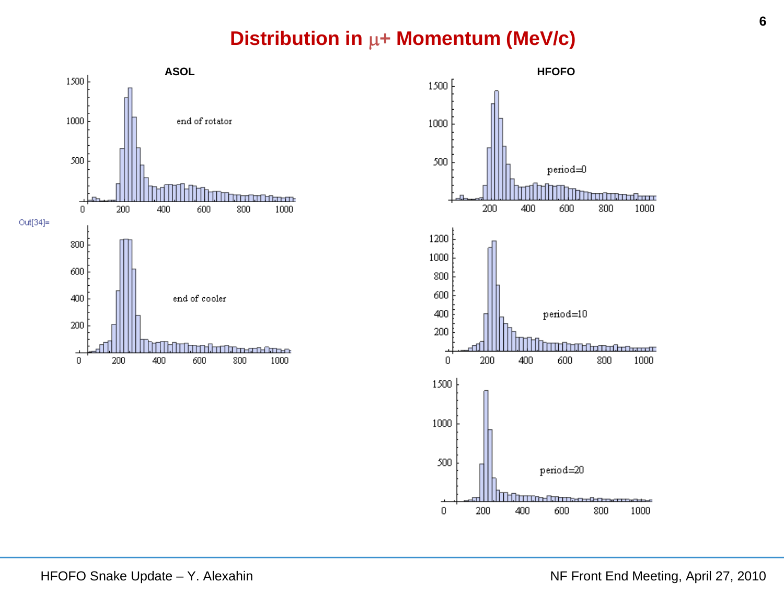# **Distribution in**  $\mu$ **+ Momentum (MeV/c)**



1000

1000

1000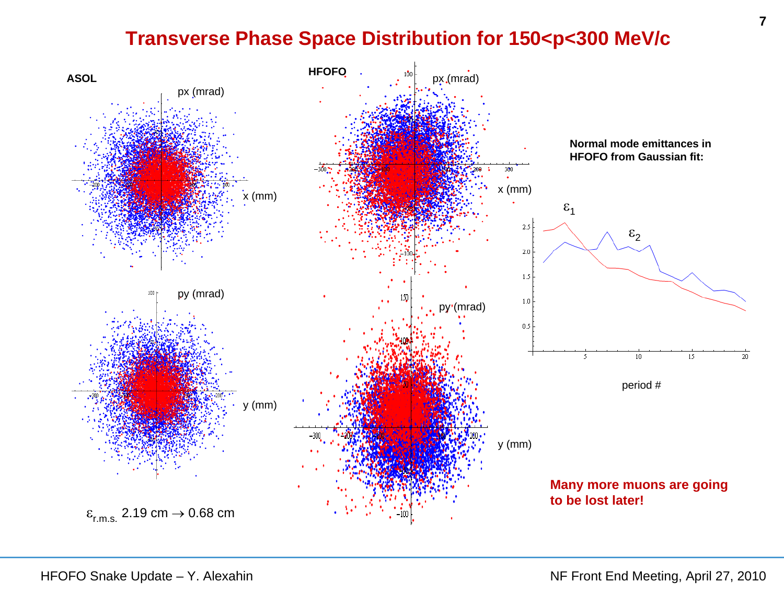# **Transverse Phase Space Distribution for 150<p<300 MeV/c**